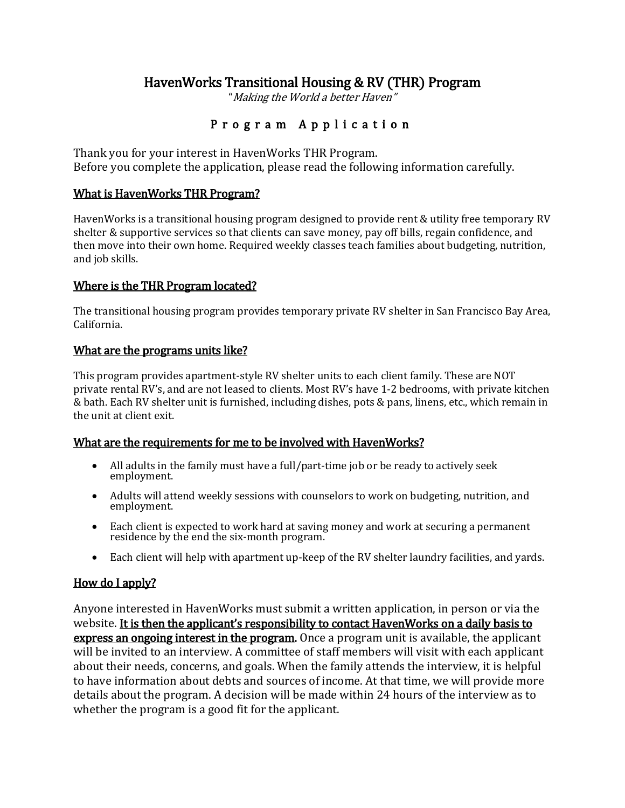# HavenWorks Transitional Housing & RV (THR) Program

"Making the World a better Haven"

# P r o g r a m A p p l i c a t i o n

Thank you for your interest in HavenWorks THR Program. Before you complete the application, please read the following information carefully.

### What is HavenWorks THR Program?

HavenWorks is a transitional housing program designed to provide rent & utility free temporary RV shelter & supportive services so that clients can save money, pay off bills, regain confidence, and then move into their own home. Required weekly classes teach families about budgeting, nutrition, and job skills.

### Where is the THR Program located?

The transitional housing program provides temporary private RV shelter in San Francisco Bay Area, California.

#### What are the programs units like?

This program provides apartment-style RV shelter units to each client family. These are NOT private rental RV's, and are not leased to clients. Most RV's have 1-2 bedrooms, with private kitchen & bath. Each RV shelter unit is furnished, including dishes, pots & pans, linens, etc., which remain in the unit at client exit.

## What are the requirements for me to be involved with HavenWorks?

- All adults in the family must have a full/part-time job or be ready to actively seek employment.
- Adults will attend weekly sessions with counselors to work on budgeting, nutrition, and employment.
- Each client is expected to work hard at saving money and work at securing a permanent residence by the end the six-month program.
- Each client will help with apartment up-keep of the RV shelter laundry facilities, and yards.

## How do I apply?

Anyone interested in HavenWorks must submit a written application, in person or via the website. It is then the applicant's responsibility to contact HavenWorks on a daily basis to express an ongoing interest in the program. Once a program unit is available, the applicant will be invited to an interview. A committee of staff members will visit with each applicant about their needs, concerns, and goals. When the family attends the interview, it is helpful to have information about debts and sources of income. At that time, we will provide more details about the program. A decision will be made within 24 hours of the interview as to whether the program is a good fit for the applicant.